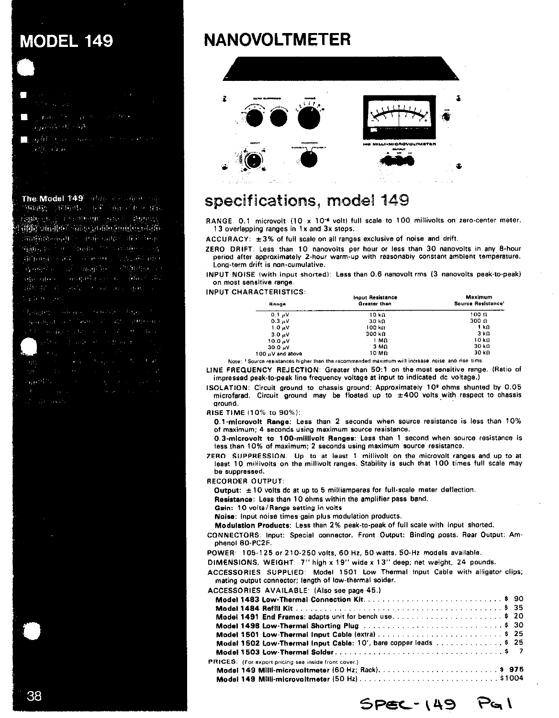# **MODEL 149**

- 
- المعون الاستجاباتيون
- The MAR Store Common Communication Allen Barn

The Model 149 adds a station of 网络纳德 医细胞切除术 化共产的医 计有序 医假 reine in i constituit since minutes itor and the more than the problem with  $\label{eq:3.1} \mathcal{W}(\mathcal{W}_1,\mathcal{W}_2,\mathcal{W}_3,\mathcal{W}_4,\mathcal{W}_5,\mathcal{W}_6,\mathcal{W}_7,\mathcal{W}_8,\mathcal{W}_9,\mathcal{W}_9,\mathcal{W}_9,\mathcal{W}_9,\mathcal{W}_9,\mathcal{W}_9,\mathcal{W}_9,\mathcal{W}_9,\mathcal{W}_9,\mathcal{W}_9,\mathcal{W}_9,\mathcal{W}_9,\mathcal{W}_9,\mathcal{W}_9,\mathcal{W}_9,\mathcal{W}_9,\mathcal{W}_9,\mathcal{W}_9,\mathcal{W}_9,\mathcal{W}_9,\mathcal{W}_9,\math$ Spirit to the Second Posts Holder of Lag BREAKER WINDOWS CONTINUES IN COLLECTION Kapital a contracting the settlements of the three complete and to these are

Specific Committee

# **NANOVOLTMETER**



## specifications, model 149

RANGE: 0.1 microvolt (10 x 10<sup>-e</sup> volt) full scale to 100 millivolts on zero-center meter. 13 overlapping ranges in 1x and 3x steps.

ACCURACY:  $\pm 3\%$  of full scale on all ranges exclusive of noise and drift.

ZERO DRIFT: Less than 10 nanovoits per hour or less than 30 nanovoits in any 8-hour period after approximately 2-hour warm-up with reasonably constant ambient temperature. Long-term drift is non-cumulative.

INPUT NOISE (with input shorted): Less than 0.6 nanovolt rms (3 nanovolts peak-to-peak) on most sensitive range.

**INPUT CHARACTERISTICS:** 

| Range                                                                                             | <b>Input Resistance</b><br>Greater than | Maximum<br>Source Resistance' |
|---------------------------------------------------------------------------------------------------|-----------------------------------------|-------------------------------|
| $0.11$ V                                                                                          | 10 kΩ                                   | 100 0                         |
| $0.3 \times V$                                                                                    | 30 kΩ                                   | 300 A                         |
| $1.0 \text{eV}$                                                                                   | 100 k.)                                 | 1 kΩ                          |
| 3.0 V                                                                                             | 300 k.O                                 | 3 k.O                         |
| $10.0 \text{ mV}$                                                                                 | 1 M.A                                   | 10 kΩ                         |
| $30.0 \sqrt{M}$                                                                                   | 3 M.Q                                   | 30 km                         |
| 100 uV and above                                                                                  | 10 M.D                                  | 30 km                         |
| Note: 1 Source resistances higher than the recommended maximum will increase noise and rise time. |                                         |                               |

LINE FREQUENCY REJECTION: Greater than 50:1 on the most sensitive range. (Ratio of impressed peak-to-peak line frequency voltage at input to indicated dc voltage.)

ISOLATION: Circuit ground to chassis ground: Approximately 10° ohms shunted by 0.05 microfarad. Circuit ground may be floated up to  $\pm 400$  volts with respect to chassis around.

**RISE TIME (10% to 90%):** 

0.1-microvolt Range: Less than 2 seconds when source resistance is less than 10% of maximum; 4 seconds using maximum source resistance.

0.3-microvolt to 100-millivolt Ranges: Less than 1 second when source resistance is less than 10% of maximum; 2 seconds using maximum source resistance.

ZERO SUPPRESSION: Up to at least 1 millivolt on the microvolt ranges and up to at least 10 millivolts on the millivolt ranges. Stability is such that 100 times full scale may be suppressed.

RECORDER OUTPUT:

Output:  $\pm 10$  volts dc at up to 5 milliamperes for full-scale meter deflection.

Resistance: Less than 10 ohms within the amplifier pass band.

Gain: 10 volts/Range setting in volts

Noise: Input noise times gain plus modulation products.

Modulation Products: Less than 2% peak-to-peak of full scale with input shorted.

CONNECTORS: Input: Special connector. Front Output: Binding posts. Rear Output: Amphenol 80-PC2F.

POWER: 105-125 or 210-250 volts, 60 Hz, 50 watts. 50-Hz models available.

DIMENSIONS, WEIGHT: 7" high x 19" wide x 13" deep; net weight, 24 pounds.

ACCESSORIES SUPPLIED: Model 1501 Low Thermal Input Cable with alligator clips; mating output connector; length of low-thermal solder.

| <b>ACCESSORIES AVAILABLE (Also see page 45.)</b> |  |
|--------------------------------------------------|--|
|                                                  |  |

| Model 1491 End Frames: adapts unit for bench use\$ 20            |  |
|------------------------------------------------------------------|--|
|                                                                  |  |
| Model 1501 Low-Thermal Input Cable (extra) \$ 25                 |  |
| Model 1502 Low-Thermal Input Cable: 10', bare copper leads \$ 25 |  |
|                                                                  |  |
| PRICES: (For export pricing see inside front cover.)             |  |
|                                                                  |  |
|                                                                  |  |

 $SPEC - 149$   $Pa1$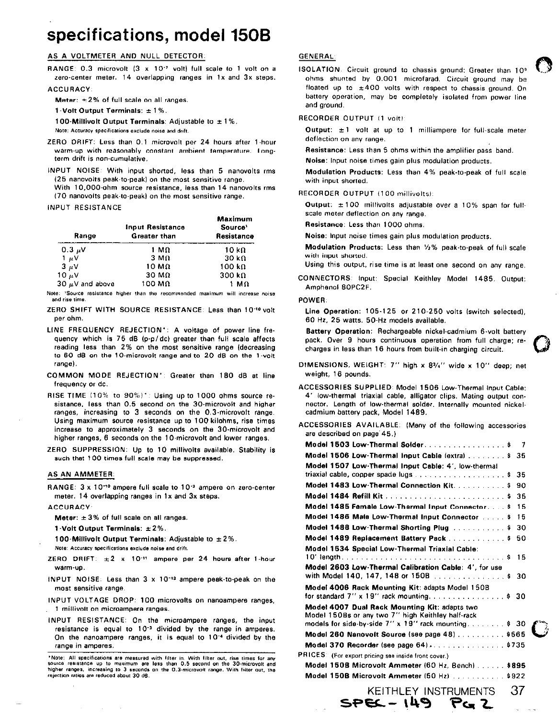# specifications, model 150B

### AS A VOLTMETER AND NULL DETECTOR:

RANGE: 0.3 microvolt (3 x 10<sup>-7</sup> volt) full scale to 1 volt on a zero-center meter. 14 overlapping ranges in 1x and 3x steps. **ACCURACY** 

Meter:  $\pm 2\%$  of full scale on all ranges.

1-Volt Output Terminals:  $\pm 1\%$ .

100-Millivolt Output Terminals: Adjustable to  $\pm 1\%$ . Note: Accuracy specifications exclude noise and drift.

- ZERO DRIFT: Less than 0.1 microvolt per 24 hours after 1-hour warm-up with reasonably constant ambient temperature. Longterm drift is non-cumulative.
- INPUT NOISE: With input shorted, less than 5 nanovolts rms (25 nanovolts peak-to-peak) on the most sensitive range.

With 10,000-ohm source resistance, less than 14 nanovolts rms (70 nanovolts peak-to-peak) on the most sensitive range.

**INPUT RESISTANCE** 

| Range                | <b>Input Resistance</b><br>Greater than | Maximum<br>Source'<br>Resistance |  |  |
|----------------------|-----------------------------------------|----------------------------------|--|--|
| 0.3 $\mu$ V          | 1 MΩ                                    | 10 kΩ                            |  |  |
| $1 \mu V$            | 3 M.Q                                   | $30 \; k\Omega$                  |  |  |
| $3 \mu V$            | 10 MΩ                                   | 100 kΩ                           |  |  |
| 10 $\mu$ V           | 30 M <sub>0</sub>                       | $300 k\Omega$                    |  |  |
| $30 \mu V$ and above | 100 MΩ                                  | 1 M $\Omega$                     |  |  |

Note: 'Source resistance higher than the recommended maximum will increase noise and rise time

- ZERO SHIFT WITH SOURCE RESISTANCE: Less than 10-10 volt per ohm.
- LINE FREQUENCY REJECTION\*: A voltage of power line frequency which is 75 dB (p-p/dc) greater than full scale affects reading less than 2% on the most sensitive range (decreasing to 60 dB on the 10-microvolt range and to 20 dB on the 1-volt range).
- COMMON MODE REJECTION': Greater than 180 dB at line frequency or dc.
- RISE TIME (10% to 90%)\*: Using up to 1000 ohms source resistance, less than 0.5 second on the 30-microvolt and higher ranges, increasing to 3 seconds on the 0.3-microvolt range. Using maximum source resistance up to 100 kilohms, rise times increase to approximately 3 seconds on the 30-microvolt and higher ranges, 6 seconds on the 10-microvolt and lower ranges.
- ZERO SUPPRESSION: Up to 10 millivolts available. Stability is such that 100 times full scale may be suppressed.

#### AS AN AMMETER:

RANGE: 3 x 10<sup>-10</sup> ampere full scale to 10<sup>-3</sup> ampere on zero-center meter. 14 overlapping ranges in 1x and 3x steps.

#### **ACCURACY**

Meter:  $\pm 3\%$  of full scale on all ranges.

1 Volt Output Terminals: ±2%.

100-Millivolt Output Terminals: Adjustable to ±2%.

- Note: Accuracy specifications exclude noise and drift.
- ZERO DRIFT:  $\pm 2 \times 10^{-11}$  ampere per 24 hours after 1-hour warm-up.
- INPUT NOISE: Less than 3 x 10<sup>-12</sup> ampere peak-to-peak on the most sensitive range.
- INPUT VOLTAGE DROP: 100 microvolts on nanoampere ranges, 1 millivoit on microampere ranges.
- INPUT RESISTANCE: On the microampere ranges, the input resistance is equal to 10<sup>-3</sup> divided by the range in amperes. On the nanoampere ranges, it is equal to 10<sup>-4</sup> divided by the range in amperes.

## **GENERAL:**

ISOLATION. Circuit ground to chassis ground: Greater than 10° ohms shunted by 0.001 microfarad. Circuit ground may be floated up to  $\pm 400$  volts with respect to chassis ground. On battery operation, may be completely isolated from power line and ground.

#### RECORDER OUTPUT (1 voit):

Output:  $\pm 1$  volt at up to 1 milliampere for full-scale meter deflection on any range.

Resistance: Less than 5 ohms within the amplifier pass band. Noise: Input noise times gain plus modulation products.

Modulation Products: Less than 4% peak-to-peak of full scale with input shorted.

RECORDER OUTPUT (100 millivolts):

Output: ±100 millivolts adjustable over a 10% span for fullscale meter deflection on any range.

Resistance: Less than 1000 ohms.

Noise: Input noise times gain plus modulation products.

Modulation Products: Less than 1/2% peak-to-peak of full scale with input shorted.

- Using this output, rise time is at least one second on any range.
- CONNECTORS: Input: Special Keithley Model 1485. Output: Amphenol BOPC2F.

#### POWER:

P

Line Operation: 105-125 or 210-250 volts (switch selected), 60 Hz, 25 watts. 50-Hz models available.

Battery Operation: Rechargeable nickel-cadmium 6-volt battery pack. Over 9 hours continuous operation from full charge; recharges in less than 16 hours from built-in charging circuit.

- DIMENSIONS, WEIGHT: 7" high x 81/4" wide x 10" deep; net weight, 16 pounds.
- ACCESSORIES SUPPLIED: Model 1506 Low-Thermal Input Cable: 4' low-thermal triaxial cable, alligator clips. Mating output connector. Length of low-thermal solder, Internally mounted nickelcadmium battery pack, Model 1489.
- ACCESSORIES AVAILABLE: (Many of the following accessories are described on page 45.)

| Model 1503 Low-Thermal Solder. \$                                                                                                                            | 7  |  |
|--------------------------------------------------------------------------------------------------------------------------------------------------------------|----|--|
| Model 1506 Low-Thermal Input Cable (extra) \$                                                                                                                | 35 |  |
| Model 1507 Low-Thermal Input Cable: 4', low-thermal                                                                                                          |    |  |
|                                                                                                                                                              | 35 |  |
| Model 1483 Low-Thermal Connection Kit. \$                                                                                                                    | 90 |  |
| Model 1484 Refill Kit \$                                                                                                                                     | 35 |  |
| Model 1485 Female Low-Thermal Input Connector \$                                                                                                             | 15 |  |
| Model 1486 Male Low-Thermal Input Connector  \$                                                                                                              | 15 |  |
| Model 1488 Low Thermal Shorting Plug $\ldots$ , , , , , , \$                                                                                                 | 30 |  |
| Model 1489 Replacement Battery Pack \$                                                                                                                       | 50 |  |
| Model 1534 Special Low-Thermal Triaxial Cable:                                                                                                               |    |  |
|                                                                                                                                                              |    |  |
| Model 2603 Low-Thermal Calibration Cable: 4', for use<br>with Model 140, 147, 148 or 150B  \$ 30                                                             |    |  |
| Model 4006 Rack Mounting Kit: adapts Model 150B<br>for standard $7''$ x 19" rack mounting, \$ 30                                                             |    |  |
| Model 4007 Dual Rack Mounting Kit: adapts two<br>Model 150Bs or any two 7" high Keithley half-rack<br>models for side-by-side $7''$ x 19" rack mounting\$ 30 |    |  |
| Model 260 Nanovolt Source (see page 48)  \$565                                                                                                               |    |  |
|                                                                                                                                                              |    |  |
| RICES: (For export pricing see inside front cover.)                                                                                                          |    |  |
| Model 150B Microvolt Ammeter (60 Hz, Bench) \$895                                                                                                            |    |  |
| Model 150B Microvolt Ammeter (50 Hz) \$922                                                                                                                   |    |  |
| KEITHLEY INSTRUMENTS                                                                                                                                         | 37 |  |

**SPEC - 149** 

Note: All specifications are measured with filter in. With filter out, rise times for any<br>source resistance up to maximum are less than 0.5 second on the 30-microvolt and higher ranges, increasing to 3 seconds on the 0.3-microvolt range. With filter out, the rejection ratios are reduced about 30 dB.